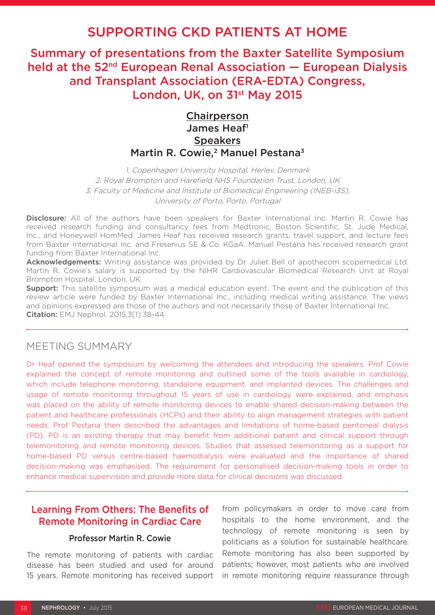# SUPPORTING CKD PATIENTS AT HOME

Summary of presentations from the Baxter Satellite Symposium held at the 52<sup>nd</sup> European Renal Association - European Dialysis and Transplant Association (ERA-EDTA) Congress, London, UK, on 31<sup>st</sup> May 2015

# **Chairperson** James Heaf<sup>1</sup> **Speakers** Martin R. Cowie,<sup>2</sup> Manuel Pestana<sup>3</sup>

1. Copenhagen University Hospital, Herlev, Denmark 2. Royal Brompton and Harefield NHS Foundation Trust, London, UK 3. Faculty of Medicine and Institute of Biomedical Engineering (INEB-i3S), University of Porto, Porto, Portugal

Disclosure: All of the authors have been speakers for Baxter International Inc. Martin R. Cowie has received research funding and consultancy fees from Medtronic, Boston Scientific, St. Jude Medical, Inc., and Honeywell HomMed. James Heaf has received research grants, travel support, and lecture fees from Baxter International Inc. and Fresenius SE & Co. KGaA. Manuel Pestana has received research grant funding from Baxter International Inc.

Acknowledgements: Writing assistance was provided by Dr Juliet Bell of apothecom scopemedical Ltd. Martin R. Cowie's salary is supported by the NIHR Cardiovascular Biomedical Research Unit at Royal Brompton Hospital, London, UK.

**Support:** This satellite symposium was a medical education event. The event and the publication of this review article were funded by Baxter International Inc., including medical writing assistance. The views and opinions expressed are those of the authors and not necessarily those of Baxter International Inc. Citation: EMJ Nephrol. 2015;3[1]:38-44.

### MEETING SUMMARY

Dr Heaf opened the symposium by welcoming the attendees and introducing the speakers. Prof Cowie explained the concept of remote monitoring and outlined some of the tools available in cardiology, which include telephone monitoring, standalone equipment, and implanted devices. The challenges and usage of remote monitoring throughout 15 years of use in cardiology were explained, and emphasis was placed on the ability of remote monitoring devices to enable shared decision-making between the patient and healthcare professionals (HCPs) and their ability to align management strategies with patient needs. Prof Pestana then described the advantages and limitations of home-based peritoneal dialysis (PD). PD is an existing therapy that may benefit from additional patient and clinical support through telemonitoring and remote monitoring devices. Studies that assessed telemonitoring as a support for home-based PD versus centre-based haemodialysis were evaluated and the importance of shared decision-making was emphasised. The requirement for personalised decision-making tools in order to enhance medical supervision and provide more data for clinical decisions was discussed.

## Learning From Others: The Benefits of Remote Monitoring in Cardiac Care

#### Professor Martin R. Cowie

The remote monitoring of patients with cardiac disease has been studied and used for around 15 years. Remote monitoring has received support

from policymakers in order to move care from hospitals to the home environment, and the technology of remote monitoring is seen by politicians as a solution for sustainable healthcare. Remote monitoring has also been supported by patients; however, most patients who are involved in remote monitoring require reassurance through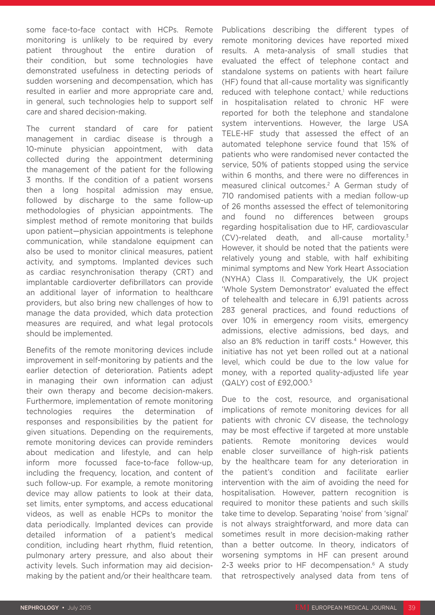some face-to-face contact with HCPs. Remote monitoring is unlikely to be required by every patient throughout the entire duration of their condition, but some technologies have demonstrated usefulness in detecting periods of sudden worsening and decompensation, which has resulted in earlier and more appropriate care and, in general, such technologies help to support self care and shared decision-making.

The current standard of care for patient management in cardiac disease is through a 10-minute physician appointment, with data collected during the appointment determining the management of the patient for the following 3 months. If the condition of a patient worsens then a long hospital admission may ensue, followed by discharge to the same follow-up methodologies of physician appointments. The simplest method of remote monitoring that builds upon patient—physician appointments is telephone communication, while standalone equipment can also be used to monitor clinical measures, patient activity, and symptoms. Implanted devices such as cardiac resynchronisation therapy (CRT) and implantable cardioverter defibrillators can provide an additional layer of information to healthcare providers, but also bring new challenges of how to manage the data provided, which data protection measures are required, and what legal protocols should be implemented.

Benefits of the remote monitoring devices include improvement in self-monitoring by patients and the earlier detection of deterioration. Patients adept in managing their own information can adjust their own therapy and become decision-makers. Furthermore, implementation of remote monitoring technologies requires the determination of responses and responsibilities by the patient for given situations. Depending on the requirements, remote monitoring devices can provide reminders about medication and lifestyle, and can help inform more focussed face-to-face follow-up, including the frequency, location, and content of such follow-up. For example, a remote monitoring device may allow patients to look at their data, set limits, enter symptoms, and access educational videos, as well as enable HCPs to monitor the data periodically. Implanted devices can provide detailed information of a patient's medical condition, including heart rhythm, fluid retention, pulmonary artery pressure, and also about their activity levels. Such information may aid decisionmaking by the patient and/or their healthcare team.

Publications describing the different types of remote monitoring devices have reported mixed results. A meta-analysis of small studies that evaluated the effect of telephone contact and standalone systems on patients with heart failure (HF) found that all-cause mortality was significantly reduced with telephone contact,<sup>1</sup> while reductions in hospitalisation related to chronic HF were reported for both the telephone and standalone system interventions. However, the large USA TELE-HF study that assessed the effect of an automated telephone service found that 15% of patients who were randomised never contacted the service, 50% of patients stopped using the service within 6 months, and there were no differences in measured clinical outcomes.2 A German study of 710 randomised patients with a median follow-up of 26 months assessed the effect of telemonitoring and found no differences between groups regarding hospitalisation due to HF, cardiovascular (CV)-related death, and all-cause mortality.3 However, it should be noted that the patients were relatively young and stable, with half exhibiting minimal symptoms and New York Heart Association (NYHA) Class II. Comparatively, the UK project 'Whole System Demonstrator' evaluated the effect of telehealth and telecare in 6,191 patients across 283 general practices, and found reductions of over 10% in emergency room visits, emergency admissions, elective admissions, bed days, and also an 8% reduction in tariff costs.<sup>4</sup> However, this initiative has not yet been rolled out at a national level, which could be due to the low value for money, with a reported quality-adjusted life year (QALY) cost of £92,000.5

Due to the cost, resource, and organisational implications of remote monitoring devices for all patients with chronic CV disease, the technology may be most effective if targeted at more unstable patients. Remote monitoring devices would enable closer surveillance of high-risk patients by the healthcare team for any deterioration in the patient's condition and facilitate earlier intervention with the aim of avoiding the need for hospitalisation. However, pattern recognition is required to monitor these patients and such skills take time to develop. Separating 'noise' from 'signal' is not always straightforward, and more data can sometimes result in more decision-making rather than a better outcome. In theory, indicators of worsening symptoms in HF can present around 2-3 weeks prior to HF decompensation.<sup>6</sup> A studv that retrospectively analysed data from tens of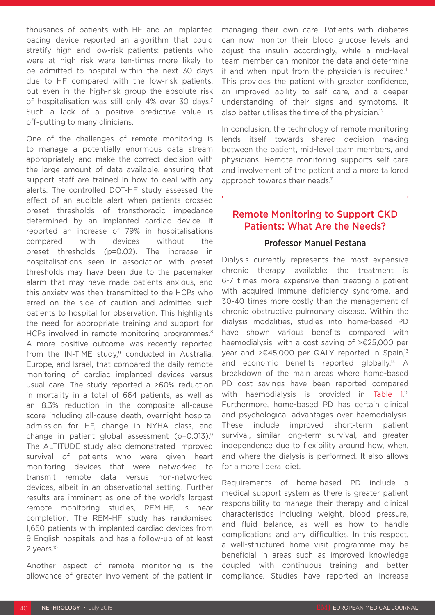thousands of patients with HF and an implanted pacing device reported an algorithm that could stratify high and low-risk patients: patients who were at high risk were ten-times more likely to be admitted to hospital within the next 30 days due to HF compared with the low-risk patients, but even in the high-risk group the absolute risk of hospitalisation was still only 4% over 30 days.<sup>7</sup> Such a lack of a positive predictive value is off-putting to many clinicians.

One of the challenges of remote monitoring is to manage a potentially enormous data stream appropriately and make the correct decision with the large amount of data available, ensuring that support staff are trained in how to deal with any alerts. The controlled DOT-HF study assessed the effect of an audible alert when patients crossed preset thresholds of transthoracic impedance determined by an implanted cardiac device. It reported an increase of 79% in hospitalisations compared with devices without the preset thresholds (p=0.02). The increase in hospitalisations seen in association with preset thresholds may have been due to the pacemaker alarm that may have made patients anxious, and this anxiety was then transmitted to the HCPs who erred on the side of caution and admitted such patients to hospital for observation. This highlights the need for appropriate training and support for HCPs involved in remote monitoring programmes.<sup>8</sup> A more positive outcome was recently reported from the IN-TIME study, $9$  conducted in Australia, Europe, and Israel, that compared the daily remote monitoring of cardiac implanted devices versus usual care. The study reported a >60% reduction in mortality in a total of 664 patients, as well as an 8.3% reduction in the composite all-cause score including all-cause death, overnight hospital admission for HF, change in NYHA class, and change in patient global assessment (p=0.013).9 The ALTITUDE study also demonstrated improved survival of patients who were given heart monitoring devices that were networked to transmit remote data versus non-networked devices, albeit in an observational setting. Further results are imminent as one of the world's largest remote monitoring studies, REM-HF, is near completion. The REM-HF study has randomised 1,650 patients with implanted cardiac devices from 9 English hospitals, and has a follow-up of at least 2 years.<sup>10</sup>

Another aspect of remote monitoring is the allowance of greater involvement of the patient in managing their own care. Patients with diabetes can now monitor their blood glucose levels and adjust the insulin accordingly, while a mid-level team member can monitor the data and determine if and when input from the physician is required.<sup>11</sup> This provides the patient with greater confidence, an improved ability to self care, and a deeper understanding of their signs and symptoms. It also better utilises the time of the physician.<sup>12</sup>

In conclusion, the technology of remote monitoring lends itself towards shared decision making between the patient, mid-level team members, and physicians. Remote monitoring supports self care and involvement of the patient and a more tailored approach towards their needs.<sup>11</sup>

### Remote Monitoring to Support CKD Patients: What Are the Needs?

#### Professor Manuel Pestana

Dialysis currently represents the most expensive chronic therapy available: the treatment is 6-7 times more expensive than treating a patient with acquired immune deficiency syndrome, and 30-40 times more costly than the management of chronic obstructive pulmonary disease. Within the dialysis modalities, studies into home-based PD have shown various benefits compared with haemodialysis, with a cost saving of >€25,000 per year and >€45,000 per QALY reported in Spain,<sup>13</sup> and economic benefits reported globally.<sup>14</sup> A breakdown of the main areas where home-based PD cost savings have been reported compared with haemodialysis is provided in Table 1.<sup>15</sup> Furthermore, home-based PD has certain clinical and psychological advantages over haemodialysis. These include improved short-term patient survival, similar long-term survival, and greater independence due to flexibility around how, when, and where the dialysis is performed. It also allows for a more liberal diet.

Requirements of home-based PD include a medical support system as there is greater patient responsibility to manage their therapy and clinical characteristics including weight, blood pressure, and fluid balance, as well as how to handle complications and any difficulties. In this respect, a well-structured home visit programme may be beneficial in areas such as improved knowledge coupled with continuous training and better compliance. Studies have reported an increase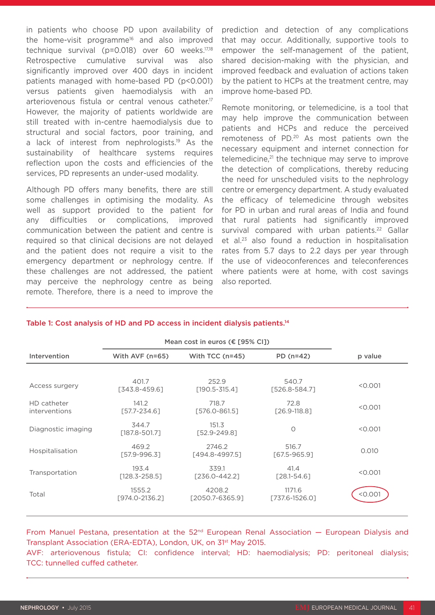in patients who choose PD upon availability of the home-visit programme16 and also improved technique survival (p=0.018) over 60 weeks.17,18 Retrospective cumulative survival was also significantly improved over 400 days in incident patients managed with home-based PD (p<0.001) versus patients given haemodialysis with an arteriovenous fistula or central venous catheter.<sup>17</sup> However, the majority of patients worldwide are still treated with in-centre haemodialysis due to structural and social factors, poor training, and a lack of interest from nephrologists.<sup>19</sup> As the sustainability of healthcare systems requires reflection upon the costs and efficiencies of the services, PD represents an under-used modality.

Although PD offers many benefits, there are still some challenges in optimising the modality. As well as support provided to the patient for any difficulties or complications, improved communication between the patient and centre is required so that clinical decisions are not delayed and the patient does not require a visit to the emergency department or nephrology centre. If these challenges are not addressed, the patient may perceive the nephrology centre as being remote. Therefore, there is a need to improve the prediction and detection of any complications that may occur. Additionally, supportive tools to empower the self-management of the patient, shared decision-making with the physician, and improved feedback and evaluation of actions taken by the patient to HCPs at the treatment centre, may improve home-based PD.

Remote monitoring, or telemedicine, is a tool that may help improve the communication between patients and HCPs and reduce the perceived remoteness of PD.<sup>20</sup> As most patients own the necessary equipment and internet connection for telemedicine,<sup>21</sup> the technique may serve to improve the detection of complications, thereby reducing the need for unscheduled visits to the nephrology centre or emergency department. A study evaluated the efficacy of telemedicine through websites for PD in urban and rural areas of India and found that rural patients had significantly improved survival compared with urban patients.<sup>22</sup> Gallar et al.23 also found a reduction in hospitalisation rates from 5.7 days to 2.2 days per year through the use of videoconferences and teleconferences where patients were at home, with cost savings also reported.

#### Table 1: Cost analysis of HD and PD access in incident dialysis patients.<sup>14</sup>

|                              | Mean cost in euros ( $E$ [95% CI]) |                            |                           |         |
|------------------------------|------------------------------------|----------------------------|---------------------------|---------|
| Intervention                 | With AVF $(n=65)$                  | With $TCC$ (n=45)          | PD $(n=42)$               | p value |
|                              |                                    |                            |                           |         |
| Access surgery               | 401.7<br>[343.8-459.6]             | 252.9<br>$[190.5 - 315.4]$ | 540.7<br>[526.8-584.7]    | < 0.001 |
| HD catheter<br>interventions | 141.2<br>$[57.7 - 234.6]$          | 718.7<br>[576.0-861.5]     | 72.8<br>$[26.9-118.8]$    | < 0.001 |
| Diagnostic imaging           | 344.7<br>[187.8-501.7]             | 151.3<br>$[52.9 - 249.8]$  | 0                         | < 0.001 |
| Hospitalisation              | 469.2<br>[57.9-996.3]              | 2746.2<br>[494.8-4997.5]   | 516.7<br>$[67.5 - 965.9]$ | 0.010   |
| Transportation               | 193.4<br>$[128.3 - 258.5]$         | 339.1<br>[236.0-442.2]     | 41.4<br>$[28.1 - 54.6]$   | < 0.001 |
| Total                        | 1555.2<br>[974.0-2136.2]           | 4208.2<br>[2050.7-6365.9]  | 1171.6<br>[737.6-1526.0]  | <0.001  |

From Manuel Pestana, presentation at the 52<sup>nd</sup> European Renal Association — European Dialysis and Transplant Association (ERA-EDTA), London, UK, on 31<sup>st</sup> May 2015.

AVF: arteriovenous fistula; CI: confidence interval; HD: haemodialysis; PD: peritoneal dialysis; TCC: tunnelled cuffed catheter.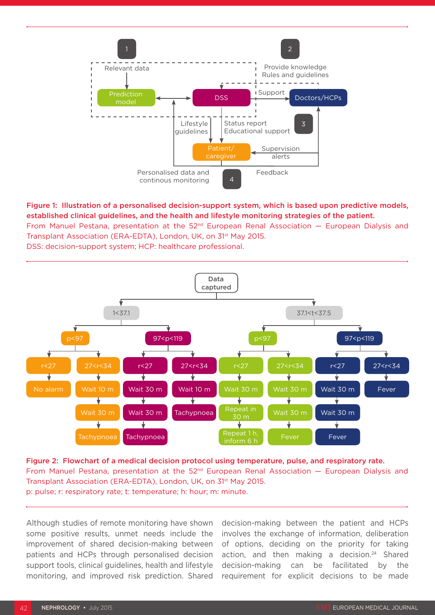

### Figure 1: Illustration of a personalised decision-support system, which is based upon predictive models, established clinical guidelines, and the health and lifestyle monitoring strategies of the patient. From Manuel Pestana, presentation at the  $52<sup>nd</sup>$  European Renal Association  $-$  European Dialysis and Transplant Association (ERA-EDTA), London, UK, on 31st May 2015.

DSS: decision-support system; HCP: healthcare professional.



Figure 2: Flowchart of a medical decision protocol using temperature, pulse, and respiratory rate. From Manuel Pestana, presentation at the 52nd European Renal Association — European Dialysis and Transplant Association (ERA-EDTA), London, UK, on 31<sup>st</sup> May 2015. p: pulse; r: respiratory rate; t: temperature; h: hour; m: minute.

Although studies of remote monitoring have shown some positive results, unmet needs include the improvement of shared decision-making between patients and HCPs through personalised decision support tools, clinical guidelines, health and lifestyle monitoring, and improved risk prediction. Shared decision-making between the patient and HCPs involves the exchange of information, deliberation of options, deciding on the priority for taking action, and then making a decision.<sup>24</sup> Shared decision-making can be facilitated by the requirement for explicit decisions to be made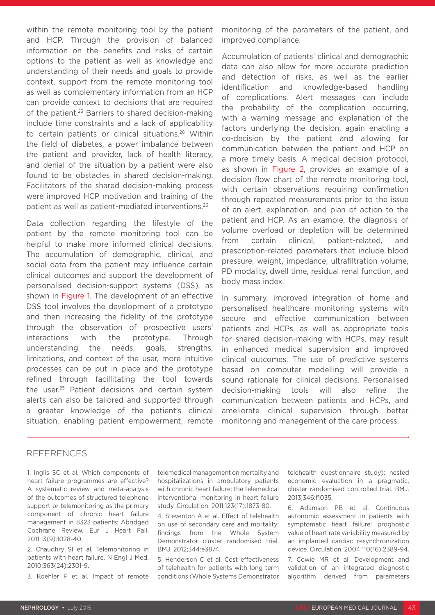within the remote monitoring tool by the patient and HCP. Through the provision of balanced information on the benefits and risks of certain options to the patient as well as knowledge and understanding of their needs and goals to provide context, support from the remote monitoring tool as well as complementary information from an HCP can provide context to decisions that are required of the patient.25 Barriers to shared decision-making include time constraints and a lack of applicability to certain patients or clinical situations.26 Within the field of diabetes, a power imbalance between the patient and provider, lack of health literacy, and denial of the situation by a patient were also found to be obstacles in shared decision-making. Facilitators of the shared decision-making process were improved HCP motivation and training of the patient as well as patient-mediated interventions.26

Data collection regarding the lifestyle of the patient by the remote monitoring tool can be helpful to make more informed clinical decisions. The accumulation of demographic, clinical, and social data from the patient may influence certain clinical outcomes and support the development of personalised decision-support systems (DSS), as shown in Figure 1. The development of an effective DSS tool involves the development of a prototype and then increasing the fidelity of the prototype through the observation of prospective users' interactions with the prototype. Through understanding the needs, goals, strengths, limitations, and context of the user, more intuitive processes can be put in place and the prototype refined through facillitating the tool towards the user.25 Patient decisions and certain system alerts can also be tailored and supported through a greater knowledge of the patient's clinical situation, enabling patient empowerment, remote

monitoring of the parameters of the patient, and improved compliance.

Accumulation of patients' clinical and demographic data can also allow for more accurate prediction and detection of risks, as well as the earlier identification and knowledge-based handling of complications. Alert messages can include the probability of the complication occurring, with a warning message and explanation of the factors underlying the decision, again enabling a co-decision by the patient and allowing for communication between the patient and HCP on a more timely basis. A medical decision protocol, as shown in Figure 2, provides an example of a decision flow chart of the remote monitoring tool, with certain observations requiring confirmation through repeated measurements prior to the issue of an alert, explanation, and plan of action to the patient and HCP. As an example, the diagnosis of volume overload or depletion will be determined from certain clinical, patient-related, and prescription-related parameters that include blood pressure, weight, impedance, ultrafiltration volume, PD modality, dwell time, residual renal function, and body mass index.

In summary, improved integration of home and personalised healthcare monitoring systems with secure and effective communication between patients and HCPs, as well as appropriate tools for shared decision-making with HCPs, may result in enhanced medical supervision and improved clinical outcomes. The use of predictive systems based on computer modelling will provide a sound rationale for clinical decisions. Personalised decision-making tools will also refine the communication between patients and HCPs, and ameliorate clinical supervision through better monitoring and management of the care process.

#### **REFERENCES**

1. Inglis SC et al. Which components of heart failure programmes are effective? A systematic review and meta-analysis of the outcomes of structured telephone support or telemonitoring as the primary component of chronic heart failure management in 8323 patients: Abridged Cochrane Review. Eur J Heart Fail. 2011;13(9):1028-40.

2. Chaudhry SI et al. Telemonitoring in patients with heart failure. N Engl J Med. 2010;363(24):2301-9.

3. Koehler F et al. Impact of remote

telemedical management on mortality and hospitalizations in ambulatory patients with chronic heart failure: the telemedical interventional monitoring in heart failure study. Circulation. 2011;123(17):1873-80.

4. Steventon A et al. Effect of telehealth on use of secondary care and mortality: findings from the Whole System Demonstrator cluster randomised trial. BMJ. 2012;344:e3874.

5. Henderson C et al. Cost effectiveness of telehealth for patients with long term conditions (Whole Systems Demonstrator telehealth questionnaire study): nested economic evaluation in a pragmatic, cluster randomised controlled trial. BMJ. 2013;346:f1035.

6. Adamson PB et al. Continuous autonomic assessment in patients with symptomatic heart failure: prognostic value of heart rate variability measured by an implanted cardiac resynchronization device. Circulation. 2004;110(16):2389-94.

7. Cowie MR et al. Development and validation of an integrated diagnostic algorithm derived from parameters